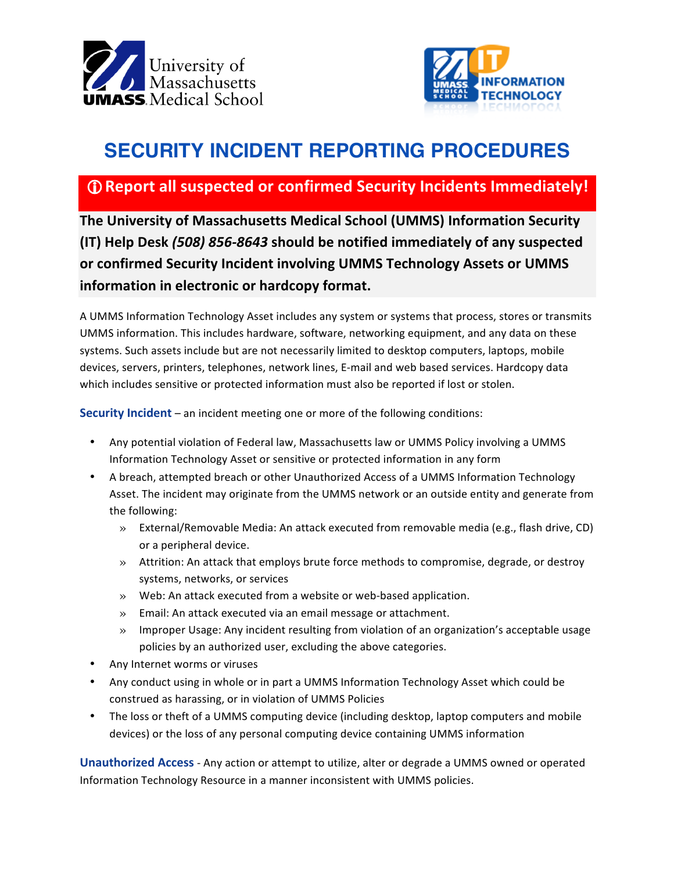



## **SECURITY INCIDENT REPORTING PROCEDURES**

## **1 C** Report all suspected or confirmed Security Incidents Immediately!

**The University of Massachusetts Medical School (UMMS) Information Security (IT) Help Desk** *(508) 856-8643* **should be notified immediately of any suspected**  or confirmed Security Incident involving UMMS Technology Assets or UMMS **information in electronic or hardcopy format.** 

A UMMS Information Technology Asset includes any system or systems that process, stores or transmits UMMS information. This includes hardware, software, networking equipment, and any data on these systems. Such assets include but are not necessarily limited to desktop computers, laptops, mobile devices, servers, printers, telephones, network lines, E-mail and web based services. Hardcopy data which includes sensitive or protected information must also be reported if lost or stolen.

**Security Incident** – an incident meeting one or more of the following conditions:

- Any potential violation of Federal law, Massachusetts law or UMMS Policy involving a UMMS Information Technology Asset or sensitive or protected information in any form
- A breach, attempted breach or other Unauthorized Access of a UMMS Information Technology Asset. The incident may originate from the UMMS network or an outside entity and generate from the following:
	- » External/Removable Media: An attack executed from removable media (e.g., flash drive, CD) or a peripheral device.
	- » Attrition: An attack that employs brute force methods to compromise, degrade, or destroy systems, networks, or services
	- $\gg$  Web: An attack executed from a website or web-based application.
	- » Email: An attack executed via an email message or attachment.
	- » Improper Usage: Any incident resulting from violation of an organization's acceptable usage policies by an authorized user, excluding the above categories.
- Any Internet worms or viruses
- Any conduct using in whole or in part a UMMS Information Technology Asset which could be construed as harassing, or in violation of UMMS Policies
- The loss or theft of a UMMS computing device (including desktop, laptop computers and mobile devices) or the loss of any personal computing device containing UMMS information

**Unauthorized Access** - Any action or attempt to utilize, alter or degrade a UMMS owned or operated Information Technology Resource in a manner inconsistent with UMMS policies.